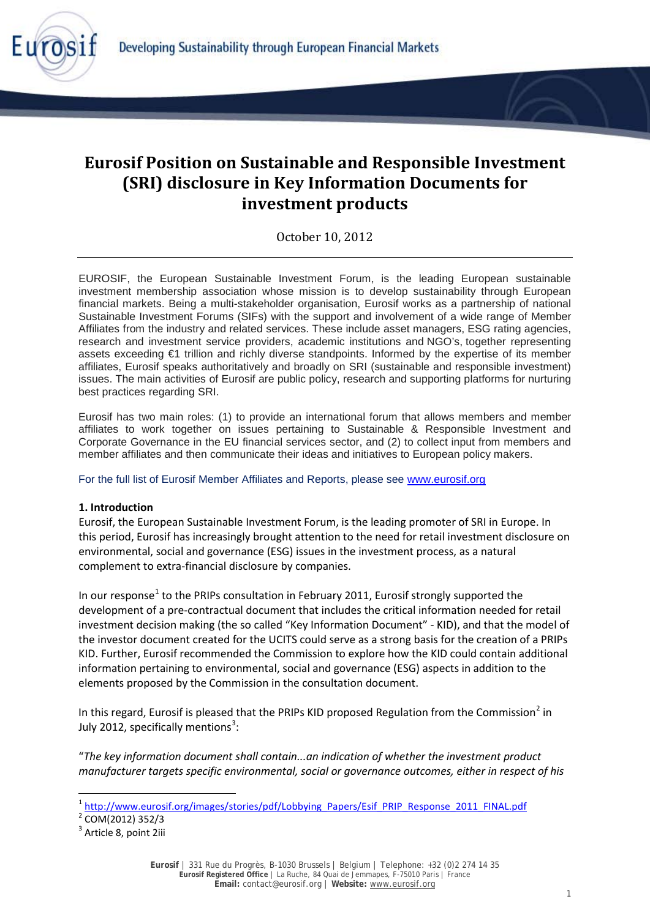

# **Eurosif Position on Sustainable and Responsible Investment (SRI) disclosure in Key Information Documents for investment products**

October 10, 2012

EUROSIF, the European Sustainable Investment Forum, is the leading European sustainable investment membership association whose mission is to develop sustainability through European financial markets. Being a multi-stakeholder organisation, Eurosif works as a partnership of national Sustainable Investment Forums (SIFs) with the support and involvement of a wide range of Member Affiliates from the industry and related services. These include asset managers, ESG rating agencies, research and investment service providers, academic institutions and NGO's, together representing assets exceeding €1 trillion and richly diverse standpoints. Informed by the expertise of its member affiliates, Eurosif speaks authoritatively and broadly on SRI (sustainable and responsible investment) issues. The main activities of Eurosif are public policy, research and supporting platforms for nurturing best practices regarding SRI.

Eurosif has two main roles: (1) to provide an international forum that allows members and member affiliates to work together on issues pertaining to Sustainable & Responsible Investment and Corporate Governance in the EU financial services sector, and (2) to collect input from members and member affiliates and then communicate their ideas and initiatives to European policy makers.

For the full list of Eurosif Member Affiliates and Reports, please see [www.eurosif.org](http://www.eurosif.org/)

## **1. Introduction**

Eurosif, the European Sustainable Investment Forum, is the leading promoter of SRI in Europe. In this period, Eurosif has increasingly brought attention to the need for retail investment disclosure on environmental, social and governance (ESG) issues in the investment process, as a natural complement to extra-financial disclosure by companies.

In our response<sup>[1](#page-0-0)</sup> to the PRIPs consultation in February 2011, Eurosif strongly supported the development of a pre-contractual document that includes the critical information needed for retail investment decision making (the so called "Key Information Document" - KID), and that the model of the investor document created for the UCITS could serve as a strong basis for the creation of a PRIPs KID. Further, Eurosif recommended the Commission to explore how the KID could contain additional information pertaining to environmental, social and governance (ESG) aspects in addition to the elements proposed by the Commission in the consultation document.

In this regard, Eurosif is pleased that the PRIPs KID proposed Regulation from the Commission<sup>[2](#page-0-1)</sup> in July 2012, specifically mentions<sup>[3](#page-0-2)</sup>:

"*The key information document shall contain...an indication of whether the investment product manufacturer targets specific environmental, social or governance outcomes, either in respect of his* 

<span id="page-0-1"></span><span id="page-0-0"></span><sup>&</sup>lt;sup>1</sup> [http://www.eurosif.org/images/stories/pdf/Lobbying\\_Papers/Esif\\_PRIP\\_Response\\_2011\\_FINAL.pdf](http://www.eurosif.org/images/stories/pdf/Lobbying_Papers/Esif_PRIP_Response_2011_FINAL.pdf) <sup>2</sup> COM(2012) 352/3

<span id="page-0-2"></span><sup>&</sup>lt;sup>3</sup> Article 8, point 2iii

**Eurosif** | 331 Rue du Progrès, B-1030 Brussels | Belgium | Telephone: +32 (0)2 274 14 35 **Eurosif Registered Office** | La Ruche, 84 Quai de Jemmapes, F-75010 Paris | France **Email:** contact@eurosif.org | **Website:** [www.eurosif.org](http://www.eurosif.org/)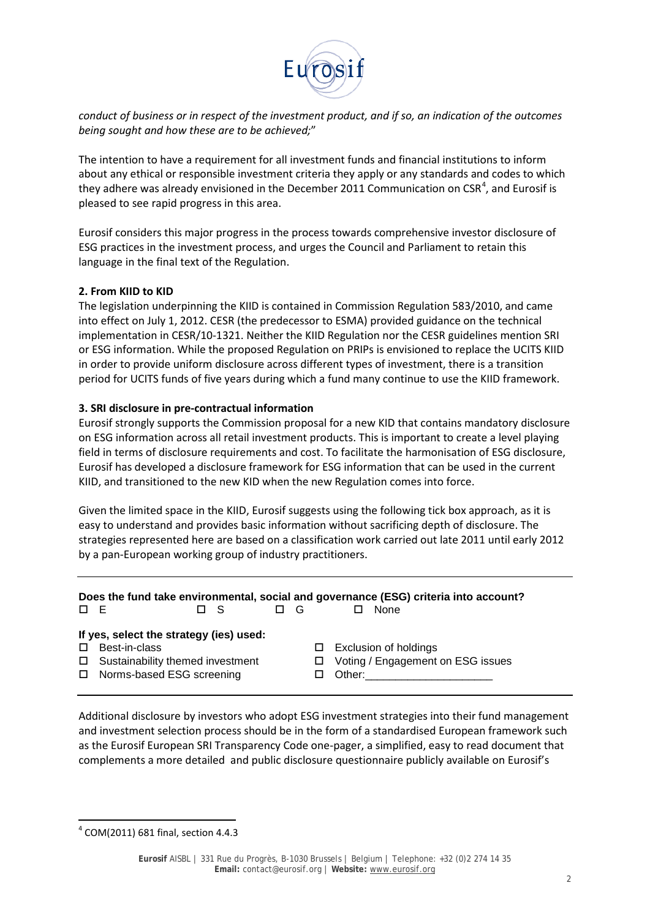

*conduct of business or in respect of the investment product, and if so, an indication of the outcomes being sought and how these are to be achieved;*"

The intention to have a requirement for all investment funds and financial institutions to inform about any ethical or responsible investment criteria they apply or any standards and codes to which they adhere was already envisioned in the December 2011 Communication on CSR<sup>[4](#page-1-0)</sup>, and Eurosif is pleased to see rapid progress in this area.

Eurosif considers this major progress in the process towards comprehensive investor disclosure of ESG practices in the investment process, and urges the Council and Parliament to retain this language in the final text of the Regulation.

#### **2. From KIID to KID**

The legislation underpinning the KIID is contained in Commission Regulation 583/2010, and came into effect on July 1, 2012. CESR (the predecessor to ESMA) provided guidance on the technical implementation in CESR/10-1321. Neither the KIID Regulation nor the CESR guidelines mention SRI or ESG information. While the proposed Regulation on PRIPs is envisioned to replace the UCITS KIID in order to provide uniform disclosure across different types of investment, there is a transition period for UCITS funds of five years during which a fund many continue to use the KIID framework.

### **3. SRI disclosure in pre-contractual information**

Eurosif strongly supports the Commission proposal for a new KID that contains mandatory disclosure on ESG information across all retail investment products. This is important to create a level playing field in terms of disclosure requirements and cost. To facilitate the harmonisation of ESG disclosure, Eurosif has developed a disclosure framework for ESG information that can be used in the current KIID, and transitioned to the new KID when the new Regulation comes into force.

Given the limited space in the KIID, Eurosif suggests using the following tick box approach, as it is easy to understand and provides basic information without sacrificing depth of disclosure. The strategies represented here are based on a classification work carried out late 2011 until early 2012 by a pan-European working group of industry practitioners.

|          |          |          |  |        | Does the fund take environmental, social and governance (ESG) criteria into account? |
|----------|----------|----------|--|--------|--------------------------------------------------------------------------------------|
| $\Box$ E | $\Box$ S | $\Box$ G |  | □ None |                                                                                      |

#### **If yes, select the strategy (ies) used:**

- 
- 
- □ Norms-based ESG screening □ Other:
- □ Best-in-class Exclusion of holdings
- $\Box$  Sustainability themed investment  $\Box$  Voting / Engagement on ESG issues
	-

Additional disclosure by investors who adopt ESG investment strategies into their fund management and investment selection process should be in the form of a standardised European framework such as the Eurosif European SRI Transparency Code one-pager, a simplified, easy to read document that complements a more detailed and public disclosure questionnaire publicly available on Eurosif's

<span id="page-1-0"></span> $4$  COM(2011) 681 final, section 4.4.3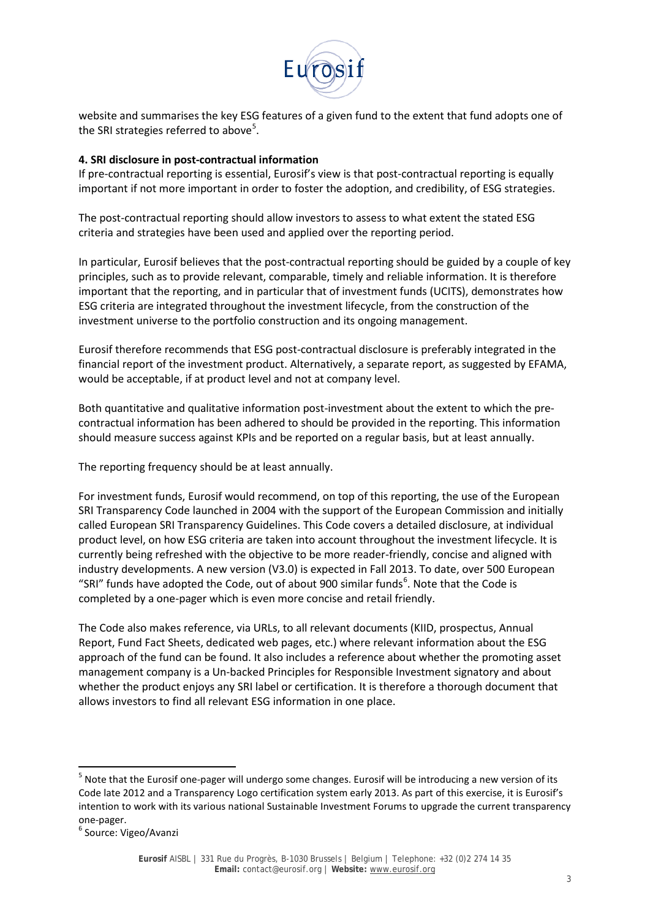

website and summarises the key ESG features of a given fund to the extent that fund adopts one of the SRI strategies referred to above<sup>[5](#page-2-0)</sup>.

### **4. SRI disclosure in post-contractual information**

If pre-contractual reporting is essential, Eurosif's view is that post-contractual reporting is equally important if not more important in order to foster the adoption, and credibility, of ESG strategies.

The post-contractual reporting should allow investors to assess to what extent the stated ESG criteria and strategies have been used and applied over the reporting period.

In particular, Eurosif believes that the post-contractual reporting should be guided by a couple of key principles, such as to provide relevant, comparable, timely and reliable information. It is therefore important that the reporting, and in particular that of investment funds (UCITS), demonstrates how ESG criteria are integrated throughout the investment lifecycle, from the construction of the investment universe to the portfolio construction and its ongoing management.

Eurosif therefore recommends that ESG post-contractual disclosure is preferably integrated in the financial report of the investment product. Alternatively, a separate report, as suggested by EFAMA, would be acceptable, if at product level and not at company level.

Both quantitative and qualitative information post-investment about the extent to which the precontractual information has been adhered to should be provided in the reporting. This information should measure success against KPIs and be reported on a regular basis, but at least annually.

The reporting frequency should be at least annually.

For investment funds, Eurosif would recommend, on top of this reporting, the use of the European SRI Transparency Code launched in 2004 with the support of the European Commission and initially called European SRI Transparency Guidelines. This Code covers a detailed disclosure, at individual product level, on how ESG criteria are taken into account throughout the investment lifecycle. It is currently being refreshed with the objective to be more reader-friendly, concise and aligned with industry developments. A new version (V3.0) is expected in Fall 2013. To date, over 500 European "SRI" funds have adopted the Code, out of about 900 similar funds $<sup>6</sup>$  $<sup>6</sup>$  $<sup>6</sup>$ . Note that the Code is</sup> completed by a one-pager which is even more concise and retail friendly.

The Code also makes reference, via URLs, to all relevant documents (KIID, prospectus, Annual Report, Fund Fact Sheets, dedicated web pages, etc.) where relevant information about the ESG approach of the fund can be found. It also includes a reference about whether the promoting asset management company is a Un-backed Principles for Responsible Investment signatory and about whether the product enjoys any SRI label or certification. It is therefore a thorough document that allows investors to find all relevant ESG information in one place.

<span id="page-2-0"></span><sup>&</sup>lt;sup>5</sup> Note that the Eurosif one-pager will undergo some changes. Eurosif will be introducing a new version of its Code late 2012 and a Transparency Logo certification system early 2013. As part of this exercise, it is Eurosif's intention to work with its various national Sustainable Investment Forums to upgrade the current transparency one-pager.<br><sup>6</sup> Source: Vigeo/Avanzi

<span id="page-2-1"></span>